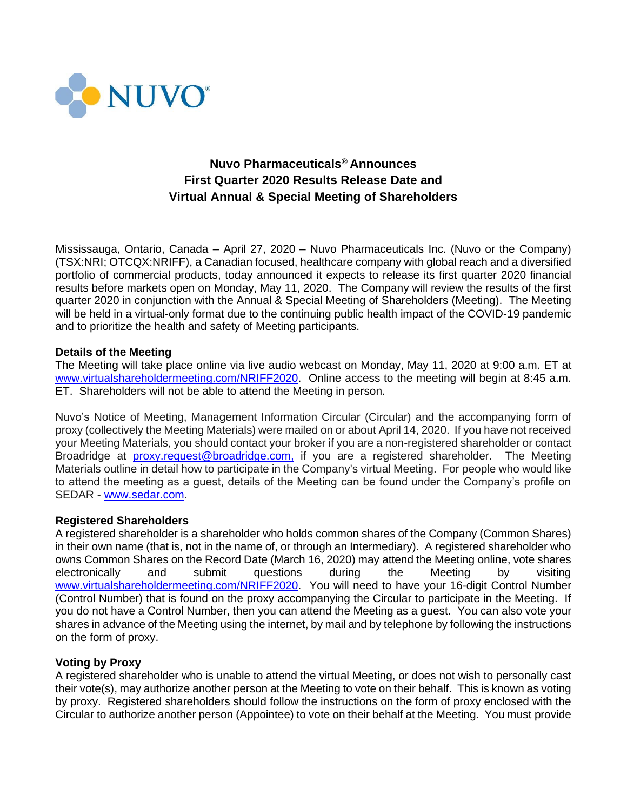

# **Nuvo Pharmaceuticals® Announces First Quarter 2020 Results Release Date and Virtual Annual & Special Meeting of Shareholders**

Mississauga, Ontario, Canada – April 27, 2020 – Nuvo Pharmaceuticals Inc. (Nuvo or the Company) (TSX:NRI; OTCQX:NRIFF), a Canadian focused, healthcare company with global reach and a diversified portfolio of commercial products, today announced it expects to release its first quarter 2020 financial results before markets open on Monday, May 11, 2020. The Company will review the results of the first quarter 2020 in conjunction with the Annual & Special Meeting of Shareholders (Meeting). The Meeting will be held in a virtual-only format due to the continuing public health impact of the COVID-19 pandemic and to prioritize the health and safety of Meeting participants.

## **Details of the Meeting**

The Meeting will take place online via live audio webcast on Monday, May 11, 2020 at 9:00 a.m. ET at [www.virtualshareholdermeeting.com/NRIFF2020.](https://www.virtualshareholdermeeting.com/NRIFF2020) Online access to the meeting will begin at 8:45 a.m. ET. Shareholders will not be able to attend the Meeting in person.

Nuvo's Notice of Meeting, Management Information Circular (Circular) and the accompanying form of proxy (collectively the Meeting Materials) were mailed on or about April 14, 2020. If you have not received your Meeting Materials, you should contact your broker if you are a non-registered shareholder or contact Broadridge at [proxy.request@broadridge.com,](mailto:proxy.request@broadridge.com,) if you are a registered shareholder. The Meeting Materials outline in detail how to participate in the Company's virtual Meeting. For people who would like to attend the meeting as a guest, details of the Meeting can be found under the Company's profile on SEDAR - [www.sedar.com.](https://www.sedar.com/)

#### **Registered Shareholders**

A registered shareholder is a shareholder who holds common shares of the Company (Common Shares) in their own name (that is, not in the name of, or through an Intermediary). A registered shareholder who owns Common Shares on the Record Date (March 16, 2020) may attend the Meeting online, vote shares electronically and submit questions during the Meeting by visiting [www.virtualshareholdermeeting.com/NRIFF2020.](https://www.virtualshareholdermeeting.com/NRIFF2020) You will need to have your 16-digit Control Number (Control Number) that is found on the proxy accompanying the Circular to participate in the Meeting. If you do not have a Control Number, then you can attend the Meeting as a guest. You can also vote your shares in advance of the Meeting using the internet, by mail and by telephone by following the instructions on the form of proxy.

## **Voting by Proxy**

A registered shareholder who is unable to attend the virtual Meeting, or does not wish to personally cast their vote(s), may authorize another person at the Meeting to vote on their behalf. This is known as voting by proxy. Registered shareholders should follow the instructions on the form of proxy enclosed with the Circular to authorize another person (Appointee) to vote on their behalf at the Meeting. You must provide